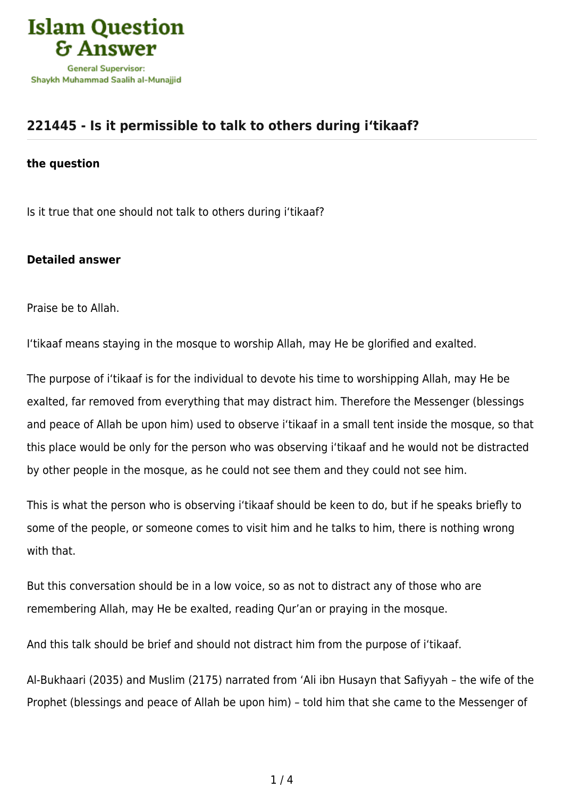

## **[221445 - Is it permissible to talk to others during i'tikaaf?](https://islamqa.com/en/answers/221445/is-it-permissible-to-talk-to-others-during-itikaaf)**

## **the question**

Is it true that one should not talk to others during i'tikaaf?

## **Detailed answer**

Praise be to Allah.

I'tikaaf means staying in the mosque to worship Allah, may He be glorified and exalted.

The purpose of i'tikaaf is for the individual to devote his time to worshipping Allah, may He be exalted, far removed from everything that may distract him. Therefore the Messenger (blessings and peace of Allah be upon him) used to observe i'tikaaf in a small tent inside the mosque, so that this place would be only for the person who was observing i'tikaaf and he would not be distracted by other people in the mosque, as he could not see them and they could not see him.

This is what the person who is observing i'tikaaf should be keen to do, but if he speaks briefly to some of the people, or someone comes to visit him and he talks to him, there is nothing wrong with that.

But this conversation should be in a low voice, so as not to distract any of those who are remembering Allah, may He be exalted, reading Qur'an or praying in the mosque.

And this talk should be brief and should not distract him from the purpose of i'tikaaf.

Al-Bukhaari (2035) and Muslim (2175) narrated from 'Ali ibn Husayn that Safiyyah – the wife of the Prophet (blessings and peace of Allah be upon him) – told him that she came to the Messenger of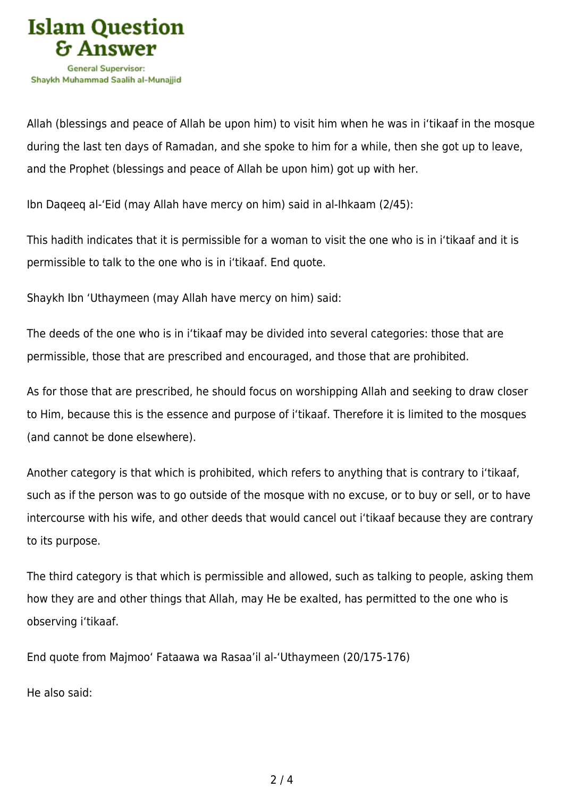

Allah (blessings and peace of Allah be upon him) to visit him when he was in i'tikaaf in the mosque during the last ten days of Ramadan, and she spoke to him for a while, then she got up to leave, and the Prophet (blessings and peace of Allah be upon him) got up with her.

Ibn Daqeeq al-'Eid (may Allah have mercy on him) said in al-Ihkaam (2/45):

This hadith indicates that it is permissible for a woman to visit the one who is in i'tikaaf and it is permissible to talk to the one who is in i'tikaaf. End quote.

Shaykh Ibn 'Uthaymeen (may Allah have mercy on him) said:

The deeds of the one who is in i'tikaaf may be divided into several categories: those that are permissible, those that are prescribed and encouraged, and those that are prohibited.

As for those that are prescribed, he should focus on worshipping Allah and seeking to draw closer to Him, because this is the essence and purpose of i'tikaaf. Therefore it is limited to the mosques (and cannot be done elsewhere).

Another category is that which is prohibited, which refers to anything that is contrary to i'tikaaf, such as if the person was to go outside of the mosque with no excuse, or to buy or sell, or to have intercourse with his wife, and other deeds that would cancel out i'tikaaf because they are contrary to its purpose.

The third category is that which is permissible and allowed, such as talking to people, asking them how they are and other things that Allah, may He be exalted, has permitted to the one who is observing i'tikaaf.

End quote from Majmoo' Fataawa wa Rasaa'il al-'Uthaymeen (20/175-176)

He also said: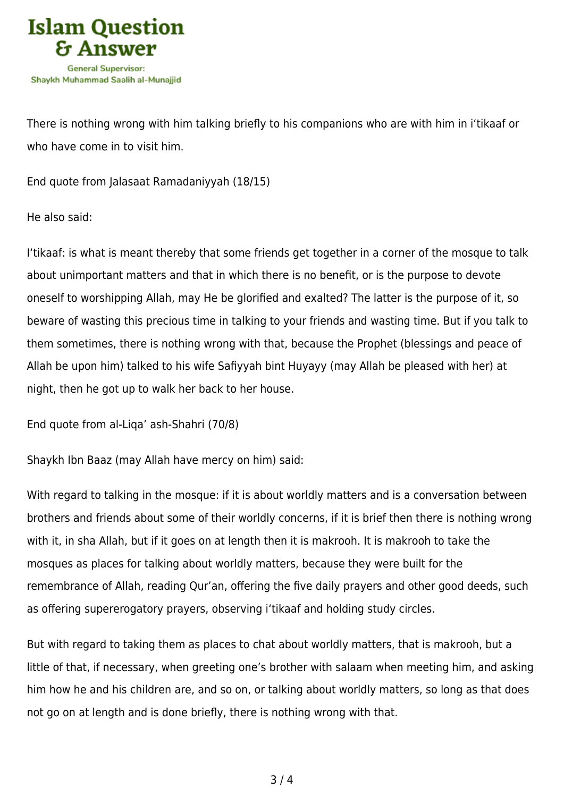

There is nothing wrong with him talking briefly to his companions who are with him in i'tikaaf or who have come in to visit him.

End quote from Jalasaat Ramadaniyyah (18/15)

He also said:

I'tikaaf: is what is meant thereby that some friends get together in a corner of the mosque to talk about unimportant matters and that in which there is no benefit, or is the purpose to devote oneself to worshipping Allah, may He be glorified and exalted? The latter is the purpose of it, so beware of wasting this precious time in talking to your friends and wasting time. But if you talk to them sometimes, there is nothing wrong with that, because the Prophet (blessings and peace of Allah be upon him) talked to his wife Safiyyah bint Huyayy (may Allah be pleased with her) at night, then he got up to walk her back to her house.

End quote from al-Liqa' ash-Shahri (70/8)

Shaykh Ibn Baaz (may Allah have mercy on him) said:

With regard to talking in the mosque: if it is about worldly matters and is a conversation between brothers and friends about some of their worldly concerns, if it is brief then there is nothing wrong with it, in sha Allah, but if it goes on at length then it is makrooh. It is makrooh to take the mosques as places for talking about worldly matters, because they were built for the remembrance of Allah, reading Qur'an, offering the five daily prayers and other good deeds, such as offering supererogatory prayers, observing i'tikaaf and holding study circles.

But with regard to taking them as places to chat about worldly matters, that is makrooh, but a little of that, if necessary, when greeting one's brother with salaam when meeting him, and asking him how he and his children are, and so on, or talking about worldly matters, so long as that does not go on at length and is done briefly, there is nothing wrong with that.